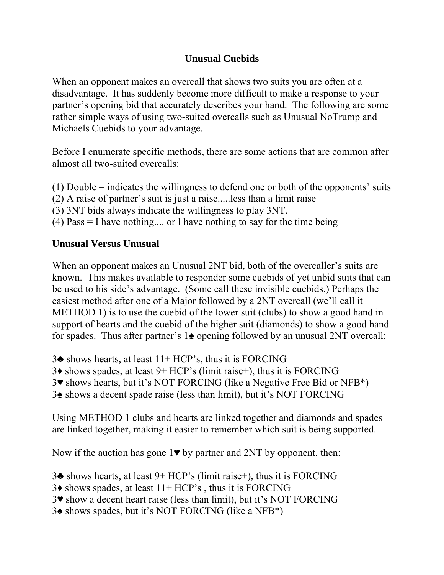## **Unusual Cuebids**

When an opponent makes an overcall that shows two suits you are often at a disadvantage. It has suddenly become more difficult to make a response to your partner's opening bid that accurately describes your hand. The following are some rather simple ways of using two-suited overcalls such as Unusual NoTrump and Michaels Cuebids to your advantage.

Before I enumerate specific methods, there are some actions that are common after almost all two-suited overcalls:

- (1) Double = indicates the willingness to defend one or both of the opponents' suits
- (2) A raise of partner's suit is just a raise.....less than a limit raise
- (3) 3NT bids always indicate the willingness to play 3NT.
- (4) Pass = I have nothing.... or I have nothing to say for the time being

## **Unusual Versus Unusual**

When an opponent makes an Unusual 2NT bid, both of the overcaller's suits are known. This makes available to responder some cuebids of yet unbid suits that can be used to his side's advantage. (Some call these invisible cuebids.) Perhaps the easiest method after one of a Major followed by a 2NT overcall (we'll call it METHOD 1) is to use the cuebid of the lower suit (clubs) to show a good hand in support of hearts and the cuebid of the higher suit (diamonds) to show a good hand for spades. Thus after partner's 1♠ opening followed by an unusual 2NT overcall:

- 3♣ shows hearts, at least 11+ HCP's, thus it is FORCING
- 3♦ shows spades, at least 9+ HCP's (limit raise+), thus it is FORCING
- 3♥ shows hearts, but it's NOT FORCING (like a Negative Free Bid or NFB\*)
- 3♠ shows a decent spade raise (less than limit), but it's NOT FORCING

Using METHOD 1 clubs and hearts are linked together and diamonds and spades are linked together, making it easier to remember which suit is being supported.

Now if the auction has gone  $1\blacktriangledown$  by partner and  $2NT$  by opponent, then:

- 3♣ shows hearts, at least 9+ HCP's (limit raise+), thus it is FORCING
- $3\blacklozenge$  shows spades, at least  $11+HCP$ 's, thus it is FORCING
- 3♥ show a decent heart raise (less than limit), but it's NOT FORCING
- 3♠ shows spades, but it's NOT FORCING (like a NFB\*)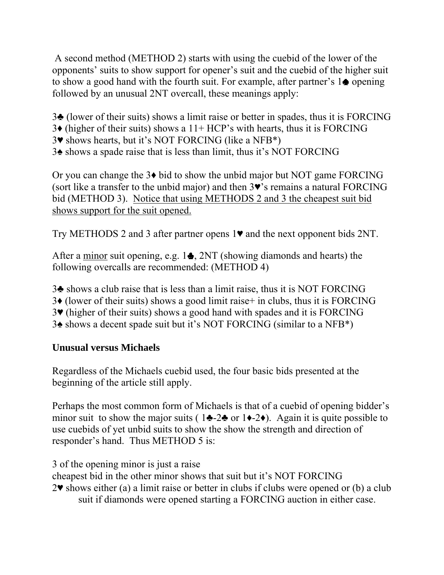A second method (METHOD 2) starts with using the cuebid of the lower of the opponents' suits to show support for opener's suit and the cuebid of the higher suit to show a good hand with the fourth suit. For example, after partner's  $1 \bullet$  opening followed by an unusual 2NT overcall, these meanings apply:

- 3♣ (lower of their suits) shows a limit raise or better in spades, thus it is FORCING
- $3\bullet$  (higher of their suits) shows a 11+ HCP's with hearts, thus it is FORCING
- 3♥ shows hearts, but it's NOT FORCING (like a NFB\*)
- 3♠ shows a spade raise that is less than limit, thus it's NOT FORCING

Or you can change the 3♦ bid to show the unbid major but NOT game FORCING (sort like a transfer to the unbid major) and then 3♥'s remains a natural FORCING bid (METHOD 3). Notice that using METHODS 2 and 3 the cheapest suit bid shows support for the suit opened.

Try METHODS 2 and 3 after partner opens 1♥ and the next opponent bids 2NT.

After a minor suit opening, e.g.  $1\bullet$ ,  $2NT$  (showing diamonds and hearts) the following overcalls are recommended: (METHOD 4)

- 3♣ shows a club raise that is less than a limit raise, thus it is NOT FORCING
- 3♦ (lower of their suits) shows a good limit raise+ in clubs, thus it is FORCING
- 3♥ (higher of their suits) shows a good hand with spades and it is FORCING
- 3♠ shows a decent spade suit but it's NOT FORCING (similar to a NFB\*)

## **Unusual versus Michaels**

Regardless of the Michaels cuebid used, the four basic bids presented at the beginning of the article still apply.

Perhaps the most common form of Michaels is that of a cuebid of opening bidder's minor suit to show the major suits (  $1\blacktriangleleft -2\blacktriangleleft$  or  $1\blacktriangleleft -2\blacktriangleleft$ ). Again it is quite possible to use cuebids of yet unbid suits to show the show the strength and direction of responder's hand. Thus METHOD 5 is:

3 of the opening minor is just a raise

cheapest bid in the other minor shows that suit but it's NOT FORCING

 $2\blacktriangledown$  shows either (a) a limit raise or better in clubs if clubs were opened or (b) a club suit if diamonds were opened starting a FORCING auction in either case.